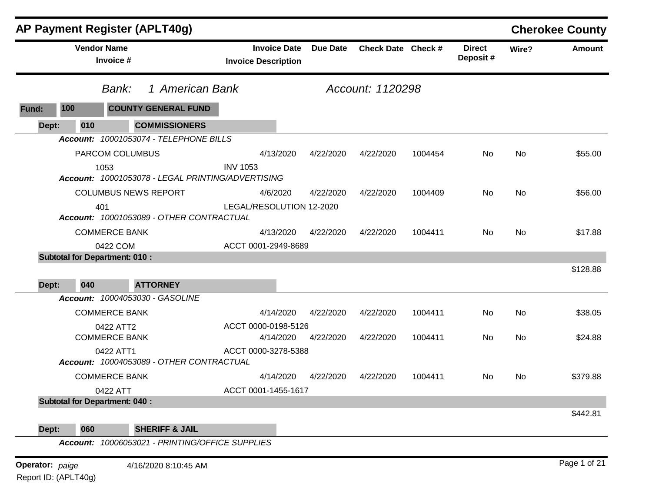|                      |                    | <b>AP Payment Register (APLT40g)</b>                  |                                                   |                 |                    |         |                           |       | <b>Cherokee County</b> |
|----------------------|--------------------|-------------------------------------------------------|---------------------------------------------------|-----------------|--------------------|---------|---------------------------|-------|------------------------|
|                      | <b>Vendor Name</b> | Invoice #                                             | <b>Invoice Date</b><br><b>Invoice Description</b> | <b>Due Date</b> | Check Date Check # |         | <b>Direct</b><br>Deposit# | Wire? | <b>Amount</b>          |
|                      |                    | 1 American Bank<br>Bank:                              | Account: 1120298                                  |                 |                    |         |                           |       |                        |
| 100<br>Fund:         |                    | <b>COUNTY GENERAL FUND</b>                            |                                                   |                 |                    |         |                           |       |                        |
| Dept:                | 010                | <b>COMMISSIONERS</b>                                  |                                                   |                 |                    |         |                           |       |                        |
|                      |                    | Account: 10001053074 - TELEPHONE BILLS                |                                                   |                 |                    |         |                           |       |                        |
|                      |                    | PARCOM COLUMBUS                                       | 4/13/2020                                         | 4/22/2020       | 4/22/2020          | 1004454 | No                        | No    | \$55.00                |
|                      | 1053               | Account: 10001053078 - LEGAL PRINTING/ADVERTISING     | <b>INV 1053</b>                                   |                 |                    |         |                           |       |                        |
|                      |                    | <b>COLUMBUS NEWS REPORT</b>                           | 4/6/2020                                          | 4/22/2020       | 4/22/2020          | 1004409 | No                        | No    | \$56.00                |
|                      | 401                | Account: 10001053089 - OTHER CONTRACTUAL              | LEGAL/RESOLUTION 12-2020                          |                 |                    |         |                           |       |                        |
|                      |                    | <b>COMMERCE BANK</b>                                  | 4/13/2020                                         | 4/22/2020       | 4/22/2020          | 1004411 | No                        | No    | \$17.88                |
|                      |                    | 0422 COM                                              | ACCT 0001-2949-8689                               |                 |                    |         |                           |       |                        |
|                      |                    | <b>Subtotal for Department: 010:</b>                  |                                                   |                 |                    |         |                           |       |                        |
|                      |                    |                                                       |                                                   |                 |                    |         |                           |       | \$128.88               |
| Dept:                | 040                | <b>ATTORNEY</b>                                       |                                                   |                 |                    |         |                           |       |                        |
|                      |                    | Account: 10004053030 - GASOLINE                       |                                                   |                 |                    |         |                           |       |                        |
|                      |                    | <b>COMMERCE BANK</b>                                  | 4/14/2020                                         | 4/22/2020       | 4/22/2020          | 1004411 | No                        | No    | \$38.05                |
|                      |                    | 0422 ATT2                                             | ACCT 0000-0198-5126                               |                 |                    |         |                           |       |                        |
|                      |                    | <b>COMMERCE BANK</b>                                  | 4/14/2020<br>ACCT 0000-3278-5388                  | 4/22/2020       | 4/22/2020          | 1004411 | No                        | No    | \$24.88                |
|                      |                    | 0422 ATT1<br>Account: 10004053089 - OTHER CONTRACTUAL |                                                   |                 |                    |         |                           |       |                        |
|                      |                    | <b>COMMERCE BANK</b>                                  | 4/14/2020                                         | 4/22/2020       | 4/22/2020          | 1004411 | No.                       | No    | \$379.88               |
|                      |                    | 0422 ATT                                              | ACCT 0001-1455-1617                               |                 |                    |         |                           |       |                        |
|                      |                    | <b>Subtotal for Department: 040:</b>                  |                                                   |                 |                    |         |                           |       | \$442.81               |
| Dept:                | 060                | <b>SHERIFF &amp; JAIL</b>                             |                                                   |                 |                    |         |                           |       |                        |
|                      |                    | Account: 10006053021 - PRINTING/OFFICE SUPPLIES       |                                                   |                 |                    |         |                           |       |                        |
| Operator: paige      |                    | 4/16/2020 8:10:45 AM                                  |                                                   |                 |                    |         |                           |       | Page 1 of 21           |
| Report ID: (APLT40g) |                    |                                                       |                                                   |                 |                    |         |                           |       |                        |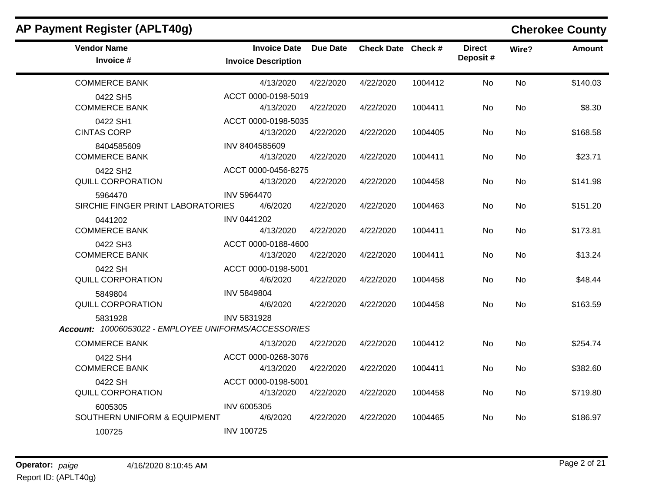| <b>Vendor Name</b><br>Invoice #                                 | <b>Invoice Date</b><br><b>Invoice Description</b> | <b>Due Date</b> | Check Date Check # |         | <b>Direct</b><br>Deposit# | Wire?     | <b>Amount</b> |
|-----------------------------------------------------------------|---------------------------------------------------|-----------------|--------------------|---------|---------------------------|-----------|---------------|
| <b>COMMERCE BANK</b>                                            | 4/13/2020                                         | 4/22/2020       | 4/22/2020          | 1004412 | <b>No</b>                 | <b>No</b> | \$140.03      |
| 0422 SH5<br><b>COMMERCE BANK</b>                                | ACCT 0000-0198-5019<br>4/13/2020                  | 4/22/2020       | 4/22/2020          | 1004411 | No                        | No        | \$8.30        |
| 0422 SH1<br><b>CINTAS CORP</b>                                  | ACCT 0000-0198-5035<br>4/13/2020                  | 4/22/2020       | 4/22/2020          | 1004405 | <b>No</b>                 | <b>No</b> | \$168.58      |
| 8404585609<br><b>COMMERCE BANK</b>                              | INV 8404585609<br>4/13/2020                       | 4/22/2020       | 4/22/2020          | 1004411 | No                        | No        | \$23.71       |
| 0422 SH2<br>QUILL CORPORATION                                   | ACCT 0000-0456-8275<br>4/13/2020                  | 4/22/2020       | 4/22/2020          | 1004458 | No                        | <b>No</b> | \$141.98      |
| 5964470<br>SIRCHIE FINGER PRINT LABORATORIES                    | <b>INV 5964470</b><br>4/6/2020                    | 4/22/2020       | 4/22/2020          | 1004463 | No                        | <b>No</b> | \$151.20      |
| 0441202<br><b>COMMERCE BANK</b>                                 | <b>INV 0441202</b><br>4/13/2020                   | 4/22/2020       | 4/22/2020          | 1004411 | <b>No</b>                 | <b>No</b> | \$173.81      |
| 0422 SH3<br><b>COMMERCE BANK</b>                                | ACCT 0000-0188-4600<br>4/13/2020                  | 4/22/2020       | 4/22/2020          | 1004411 | <b>No</b>                 | No.       | \$13.24       |
| 0422 SH<br><b>QUILL CORPORATION</b>                             | ACCT 0000-0198-5001<br>4/6/2020                   | 4/22/2020       | 4/22/2020          | 1004458 | No                        | No.       | \$48.44       |
| 5849804<br><b>QUILL CORPORATION</b>                             | <b>INV 5849804</b><br>4/6/2020                    | 4/22/2020       | 4/22/2020          | 1004458 | No                        | No.       | \$163.59      |
| 5831928<br>Account: 10006053022 - EMPLOYEE UNIFORMS/ACCESSORIES | INV 5831928                                       |                 |                    |         |                           |           |               |
| <b>COMMERCE BANK</b>                                            | 4/13/2020                                         | 4/22/2020       | 4/22/2020          | 1004412 | <b>No</b>                 | <b>No</b> | \$254.74      |
| 0422 SH4<br><b>COMMERCE BANK</b>                                | ACCT 0000-0268-3076<br>4/13/2020                  | 4/22/2020       | 4/22/2020          | 1004411 | <b>No</b>                 | <b>No</b> | \$382.60      |
| 0422 SH<br>QUILL CORPORATION                                    | ACCT 0000-0198-5001<br>4/13/2020                  | 4/22/2020       | 4/22/2020          | 1004458 | No                        | No        | \$719.80      |
| 6005305<br>SOUTHERN UNIFORM & EQUIPMENT                         | INV 6005305<br>4/6/2020                           | 4/22/2020       | 4/22/2020          | 1004465 | No                        | <b>No</b> | \$186.97      |
| 100725                                                          | <b>INV 100725</b>                                 |                 |                    |         |                           |           |               |
|                                                                 |                                                   |                 |                    |         |                           |           |               |

## **AP Payment Register (APLT40g) Cherokee County**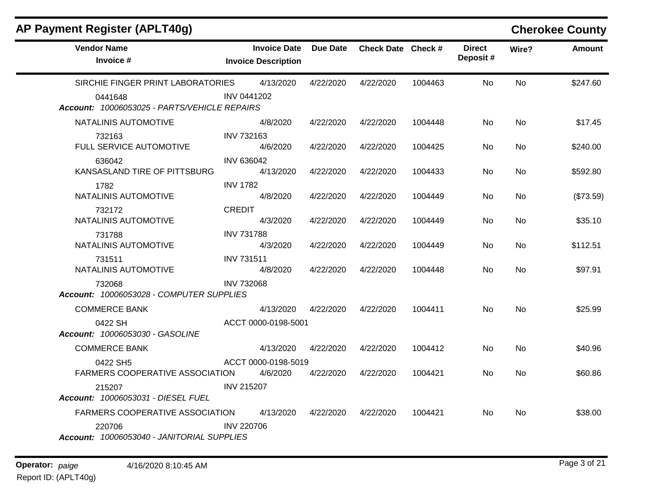| <b>AP Payment Register (APLT40g)</b>                    |                                                   |           |                    |         |                           |           | <b>Cherokee County</b> |
|---------------------------------------------------------|---------------------------------------------------|-----------|--------------------|---------|---------------------------|-----------|------------------------|
| <b>Vendor Name</b><br>Invoice #                         | <b>Invoice Date</b><br><b>Invoice Description</b> | Due Date  | Check Date Check # |         | <b>Direct</b><br>Deposit# | Wire?     | <b>Amount</b>          |
| SIRCHIE FINGER PRINT LABORATORIES                       | 4/13/2020                                         | 4/22/2020 | 4/22/2020          | 1004463 | No                        | No        | \$247.60               |
| 0441648<br>Account: 10006053025 - PARTS/VEHICLE REPAIRS | <b>INV 0441202</b>                                |           |                    |         |                           |           |                        |
| NATALINIS AUTOMOTIVE                                    | 4/8/2020                                          | 4/22/2020 | 4/22/2020          | 1004448 | No                        | No.       | \$17.45                |
| 732163<br>FULL SERVICE AUTOMOTIVE                       | <b>INV 732163</b><br>4/6/2020                     | 4/22/2020 | 4/22/2020          | 1004425 | No                        | <b>No</b> | \$240.00               |
| 636042<br>KANSASLAND TIRE OF PITTSBURG                  | <b>INV 636042</b><br>4/13/2020                    | 4/22/2020 | 4/22/2020          | 1004433 | No                        | No.       | \$592.80               |
| 1782<br>NATALINIS AUTOMOTIVE                            | <b>INV 1782</b><br>4/8/2020                       | 4/22/2020 | 4/22/2020          | 1004449 | No                        | No        | (\$73.59)              |
| 732172<br>NATALINIS AUTOMOTIVE                          | <b>CREDIT</b><br>4/3/2020                         | 4/22/2020 | 4/22/2020          | 1004449 | No.                       | No.       | \$35.10                |
| 731788<br>NATALINIS AUTOMOTIVE                          | <b>INV 731788</b><br>4/3/2020                     | 4/22/2020 | 4/22/2020          | 1004449 | No                        | No.       | \$112.51               |
| 731511<br>NATALINIS AUTOMOTIVE                          | <b>INV 731511</b><br>4/8/2020                     | 4/22/2020 | 4/22/2020          | 1004448 | No                        | No        | \$97.91                |
| 732068<br>Account: 10006053028 - COMPUTER SUPPLIES      | <b>INV 732068</b>                                 |           |                    |         |                           |           |                        |
| <b>COMMERCE BANK</b>                                    | 4/13/2020                                         | 4/22/2020 | 4/22/2020          | 1004411 | No                        | <b>No</b> | \$25.99                |
| 0422 SH<br>Account: 10006053030 - GASOLINE              | ACCT 0000-0198-5001                               |           |                    |         |                           |           |                        |
| <b>COMMERCE BANK</b>                                    | 4/13/2020                                         | 4/22/2020 | 4/22/2020          | 1004412 | No                        | No.       | \$40.96                |
| 0422 SH5<br>FARMERS COOPERATIVE ASSOCIATION             | ACCT 0000-0198-5019<br>4/6/2020                   | 4/22/2020 | 4/22/2020          | 1004421 | No                        | No        | \$60.86                |
| 215207<br>Account: 10006053031 - DIESEL FUEL            | <b>INV 215207</b>                                 |           |                    |         |                           |           |                        |
| FARMERS COOPERATIVE ASSOCIATION                         | 4/13/2020                                         | 4/22/2020 | 4/22/2020          | 1004421 | No                        | No.       | \$38.00                |
| 220706<br>Account: 10006053040 - JANITORIAL SUPPLIES    | <b>INV 220706</b>                                 |           |                    |         |                           |           |                        |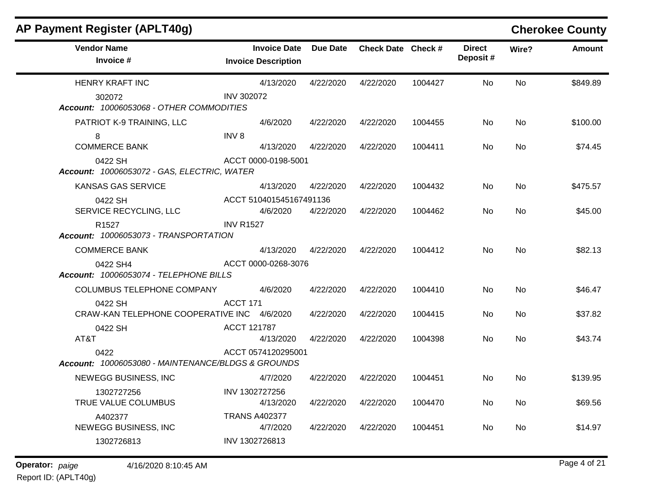| AP Payment Register (APLT40g)                              |                   |                                                   |           |                    |         |                           |           | <b>Cherokee County</b> |
|------------------------------------------------------------|-------------------|---------------------------------------------------|-----------|--------------------|---------|---------------------------|-----------|------------------------|
| <b>Vendor Name</b><br>Invoice #                            |                   | <b>Invoice Date</b><br><b>Invoice Description</b> | Due Date  | Check Date Check # |         | <b>Direct</b><br>Deposit# | Wire?     | <b>Amount</b>          |
| <b>HENRY KRAFT INC</b>                                     |                   | 4/13/2020                                         | 4/22/2020 | 4/22/2020          | 1004427 | No                        | <b>No</b> | \$849.89               |
| 302072<br>Account: 10006053068 - OTHER COMMODITIES         | <b>INV 302072</b> |                                                   |           |                    |         |                           |           |                        |
| PATRIOT K-9 TRAINING, LLC                                  |                   | 4/6/2020                                          | 4/22/2020 | 4/22/2020          | 1004455 | No.                       | No        | \$100.00               |
| 8                                                          | INV <sub>8</sub>  |                                                   |           |                    |         |                           |           |                        |
| <b>COMMERCE BANK</b>                                       |                   | 4/13/2020                                         | 4/22/2020 | 4/22/2020          | 1004411 | No.                       | No        | \$74.45                |
| 0422 SH<br>Account: 10006053072 - GAS, ELECTRIC, WATER     |                   | ACCT 0000-0198-5001                               |           |                    |         |                           |           |                        |
| <b>KANSAS GAS SERVICE</b>                                  |                   | 4/13/2020                                         | 4/22/2020 | 4/22/2020          | 1004432 | No.                       | No        | \$475.57               |
| 0422 SH                                                    |                   | ACCT 510401545167491136                           |           |                    |         |                           |           |                        |
| SERVICE RECYCLING, LLC                                     |                   | 4/6/2020                                          | 4/22/2020 | 4/22/2020          | 1004462 | No.                       | No.       | \$45.00                |
| R <sub>1527</sub><br>Account: 10006053073 - TRANSPORTATION | <b>INV R1527</b>  |                                                   |           |                    |         |                           |           |                        |
| <b>COMMERCE BANK</b>                                       |                   | 4/13/2020                                         | 4/22/2020 | 4/22/2020          | 1004412 | No.                       | No        | \$82.13                |
| 0422 SH4<br>Account: 10006053074 - TELEPHONE BILLS         |                   | ACCT 0000-0268-3076                               |           |                    |         |                           |           |                        |
| COLUMBUS TELEPHONE COMPANY                                 |                   | 4/6/2020                                          | 4/22/2020 | 4/22/2020          | 1004410 | No                        | No        | \$46.47                |
| 0422 SH<br>CRAW-KAN TELEPHONE COOPERATIVE INC 4/6/2020     | <b>ACCT 171</b>   |                                                   | 4/22/2020 | 4/22/2020          | 1004415 | No                        | No.       | \$37.82                |
| 0422 SH                                                    | ACCT 121787       |                                                   |           |                    |         |                           |           |                        |
| AT&T                                                       |                   | 4/13/2020                                         | 4/22/2020 | 4/22/2020          | 1004398 | No.                       | No        | \$43.74                |
| 0422<br>Account: 10006053080 - MAINTENANCE/BLDGS & GROUNDS |                   | ACCT 0574120295001                                |           |                    |         |                           |           |                        |
| NEWEGG BUSINESS, INC                                       |                   | 4/7/2020                                          | 4/22/2020 | 4/22/2020          | 1004451 | No.                       | <b>No</b> | \$139.95               |
| 1302727256<br>TRUE VALUE COLUMBUS                          |                   | INV 1302727256<br>4/13/2020                       | 4/22/2020 | 4/22/2020          | 1004470 | No                        | No.       | \$69.56                |
| A402377                                                    |                   | <b>TRANS A402377</b>                              |           |                    |         |                           |           |                        |
| NEWEGG BUSINESS, INC                                       |                   | 4/7/2020                                          | 4/22/2020 | 4/22/2020          | 1004451 | No                        | No        | \$14.97                |
| 1302726813                                                 |                   | INV 1302726813                                    |           |                    |         |                           |           |                        |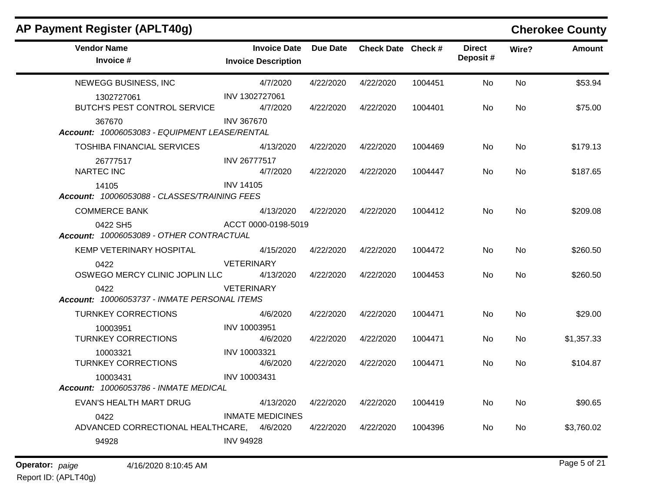| AP Payment Register (APLT40g)                           |                                                   |                 |                    |         |                           |       | <b>Cherokee County</b> |
|---------------------------------------------------------|---------------------------------------------------|-----------------|--------------------|---------|---------------------------|-------|------------------------|
| <b>Vendor Name</b><br>Invoice #                         | <b>Invoice Date</b><br><b>Invoice Description</b> | <b>Due Date</b> | Check Date Check # |         | <b>Direct</b><br>Deposit# | Wire? | <b>Amount</b>          |
| NEWEGG BUSINESS, INC                                    | 4/7/2020                                          | 4/22/2020       | 4/22/2020          | 1004451 | No                        | No    | \$53.94                |
| 1302727061<br>BUTCH'S PEST CONTROL SERVICE              | INV 1302727061<br>4/7/2020                        | 4/22/2020       | 4/22/2020          | 1004401 | No.                       | No    | \$75.00                |
| 367670<br>Account: 10006053083 - EQUIPMENT LEASE/RENTAL | <b>INV 367670</b>                                 |                 |                    |         |                           |       |                        |
| <b>TOSHIBA FINANCIAL SERVICES</b>                       | 4/13/2020                                         | 4/22/2020       | 4/22/2020          | 1004469 | No.                       | No.   | \$179.13               |
| 26777517<br><b>NARTEC INC</b>                           | INV 26777517<br>4/7/2020                          | 4/22/2020       | 4/22/2020          | 1004447 | No                        | No    | \$187.65               |
| 14105<br>Account: 10006053088 - CLASSES/TRAINING FEES   | <b>INV 14105</b>                                  |                 |                    |         |                           |       |                        |
| <b>COMMERCE BANK</b>                                    | 4/13/2020                                         | 4/22/2020       | 4/22/2020          | 1004412 | No                        | No    | \$209.08               |
| 0422 SH5<br>Account: 10006053089 - OTHER CONTRACTUAL    | ACCT 0000-0198-5019                               |                 |                    |         |                           |       |                        |
| KEMP VETERINARY HOSPITAL                                | 4/15/2020                                         | 4/22/2020       | 4/22/2020          | 1004472 | No                        | No    | \$260.50               |
| 0422<br>OSWEGO MERCY CLINIC JOPLIN LLC                  | <b>VETERINARY</b><br>4/13/2020                    | 4/22/2020       | 4/22/2020          | 1004453 | No                        | No    | \$260.50               |
| 0422<br>Account: 10006053737 - INMATE PERSONAL ITEMS    | <b>VETERINARY</b>                                 |                 |                    |         |                           |       |                        |
| <b>TURNKEY CORRECTIONS</b>                              | 4/6/2020                                          | 4/22/2020       | 4/22/2020          | 1004471 | No                        | No    | \$29.00                |
| 10003951<br><b>TURNKEY CORRECTIONS</b>                  | INV 10003951<br>4/6/2020                          | 4/22/2020       | 4/22/2020          | 1004471 | No                        | No    | \$1,357.33             |
| 10003321<br><b>TURNKEY CORRECTIONS</b>                  | INV 10003321<br>4/6/2020                          | 4/22/2020       | 4/22/2020          | 1004471 | No                        | No    | \$104.87               |
| 10003431<br>Account: 10006053786 - INMATE MEDICAL       | INV 10003431                                      |                 |                    |         |                           |       |                        |
| EVAN'S HEALTH MART DRUG                                 | 4/13/2020                                         | 4/22/2020       | 4/22/2020          | 1004419 | No                        | No    | \$90.65                |
| 0422                                                    | <b>INMATE MEDICINES</b>                           |                 |                    |         |                           |       |                        |
| ADVANCED CORRECTIONAL HEALTHCARE, 4/6/2020              |                                                   | 4/22/2020       | 4/22/2020          | 1004396 | No                        | No    | \$3,760.02             |
| 94928                                                   | <b>INV 94928</b>                                  |                 |                    |         |                           |       |                        |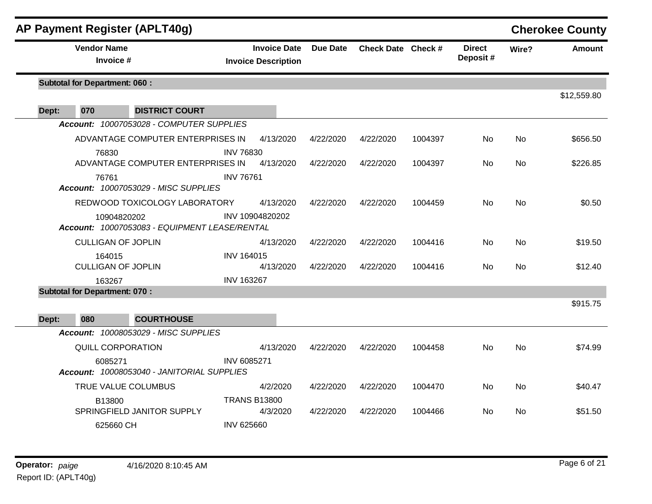|       |                                      | AP Payment Register (APLT40g)                                |                   |                                                   |                 |                    |         |                           |           | <b>Cherokee County</b> |
|-------|--------------------------------------|--------------------------------------------------------------|-------------------|---------------------------------------------------|-----------------|--------------------|---------|---------------------------|-----------|------------------------|
|       | <b>Vendor Name</b><br>Invoice #      |                                                              |                   | <b>Invoice Date</b><br><b>Invoice Description</b> | <b>Due Date</b> | Check Date Check # |         | <b>Direct</b><br>Deposit# | Wire?     | <b>Amount</b>          |
|       | <b>Subtotal for Department: 060:</b> |                                                              |                   |                                                   |                 |                    |         |                           |           |                        |
| Dept: | 070                                  | <b>DISTRICT COURT</b>                                        |                   |                                                   |                 |                    |         |                           |           | \$12,559.80            |
|       |                                      | Account: 10007053028 - COMPUTER SUPPLIES                     |                   |                                                   |                 |                    |         |                           |           |                        |
|       |                                      | ADVANTAGE COMPUTER ENTERPRISES IN                            |                   | 4/13/2020                                         | 4/22/2020       | 4/22/2020          | 1004397 | No.                       | <b>No</b> | \$656.50               |
|       | 76830                                | ADVANTAGE COMPUTER ENTERPRISES IN                            | <b>INV 76830</b>  | 4/13/2020                                         | 4/22/2020       | 4/22/2020          | 1004397 | No.                       | <b>No</b> | \$226.85               |
|       | 76761                                | <b>Account: 10007053029 - MISC SUPPLIES</b>                  | <b>INV 76761</b>  |                                                   |                 |                    |         |                           |           |                        |
|       |                                      | REDWOOD TOXICOLOGY LABORATORY                                |                   | 4/13/2020                                         | 4/22/2020       | 4/22/2020          | 1004459 | <b>No</b>                 | No        | \$0.50                 |
|       |                                      | 10904820202<br>Account: 10007053083 - EQUIPMENT LEASE/RENTAL |                   | INV 10904820202                                   |                 |                    |         |                           |           |                        |
|       | <b>CULLIGAN OF JOPLIN</b>            |                                                              |                   | 4/13/2020                                         | 4/22/2020       | 4/22/2020          | 1004416 | No.                       | <b>No</b> | \$19.50                |
|       | 164015<br><b>CULLIGAN OF JOPLIN</b>  |                                                              | <b>INV 164015</b> | 4/13/2020                                         | 4/22/2020       | 4/22/2020          | 1004416 | No.                       | <b>No</b> | \$12.40                |
|       | 163267                               |                                                              | <b>INV 163267</b> |                                                   |                 |                    |         |                           |           |                        |
|       | <b>Subtotal for Department: 070:</b> |                                                              |                   |                                                   |                 |                    |         |                           |           |                        |
|       |                                      |                                                              |                   |                                                   |                 |                    |         |                           |           | \$915.75               |
| Dept: | 080                                  | <b>COURTHOUSE</b>                                            |                   |                                                   |                 |                    |         |                           |           |                        |
|       |                                      | Account: 10008053029 - MISC SUPPLIES                         |                   |                                                   |                 |                    |         |                           |           |                        |
|       |                                      | QUILL CORPORATION                                            |                   | 4/13/2020                                         | 4/22/2020       | 4/22/2020          | 1004458 | No.                       | <b>No</b> | \$74.99                |
|       | 6085271                              | Account: 10008053040 - JANITORIAL SUPPLIES                   | INV 6085271       |                                                   |                 |                    |         |                           |           |                        |
|       |                                      | TRUE VALUE COLUMBUS                                          |                   | 4/2/2020                                          | 4/22/2020       | 4/22/2020          | 1004470 | No                        | No        | \$40.47                |
|       | B13800                               | SPRINGFIELD JANITOR SUPPLY                                   |                   | <b>TRANS B13800</b><br>4/3/2020                   | 4/22/2020       | 4/22/2020          | 1004466 | No.                       | <b>No</b> | \$51.50                |
|       | 625660 CH                            |                                                              | <b>INV 625660</b> |                                                   |                 |                    |         |                           |           |                        |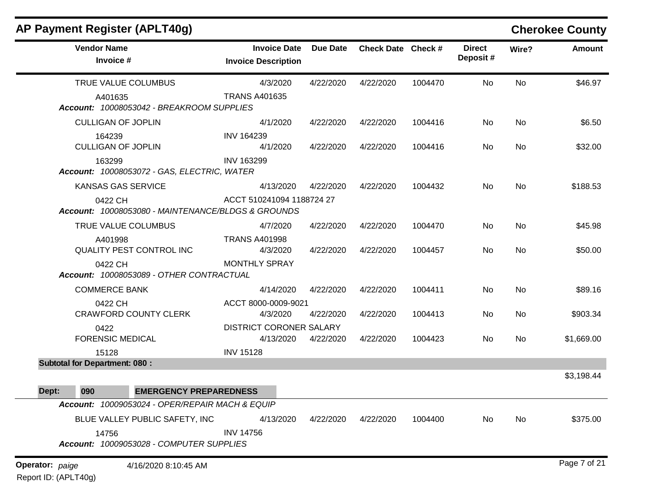| <b>AP Payment Register (APLT40g)</b>                          |                                                   |                 |                    |         |                           |       | <b>Cherokee County</b> |
|---------------------------------------------------------------|---------------------------------------------------|-----------------|--------------------|---------|---------------------------|-------|------------------------|
| <b>Vendor Name</b><br>Invoice #                               | <b>Invoice Date</b><br><b>Invoice Description</b> | <b>Due Date</b> | Check Date Check # |         | <b>Direct</b><br>Deposit# | Wire? | <b>Amount</b>          |
| TRUE VALUE COLUMBUS                                           | 4/3/2020                                          | 4/22/2020       | 4/22/2020          | 1004470 | No                        | No    | \$46.97                |
| A401635<br>Account: 10008053042 - BREAKROOM SUPPLIES          | <b>TRANS A401635</b>                              |                 |                    |         |                           |       |                        |
| <b>CULLIGAN OF JOPLIN</b>                                     | 4/1/2020                                          | 4/22/2020       | 4/22/2020          | 1004416 | No                        | No    | \$6.50                 |
| 164239<br><b>CULLIGAN OF JOPLIN</b>                           | INV 164239<br>4/1/2020                            | 4/22/2020       | 4/22/2020          | 1004416 | No                        | No    | \$32.00                |
| 163299<br>Account: 10008053072 - GAS, ELECTRIC, WATER         | <b>INV 163299</b>                                 |                 |                    |         |                           |       |                        |
| <b>KANSAS GAS SERVICE</b>                                     | 4/13/2020                                         | 4/22/2020       | 4/22/2020          | 1004432 | No.                       | No    | \$188.53               |
| 0422 CH<br>Account: 10008053080 - MAINTENANCE/BLDGS & GROUNDS | ACCT 510241094 1188724 27                         |                 |                    |         |                           |       |                        |
| TRUE VALUE COLUMBUS                                           | 4/7/2020                                          | 4/22/2020       | 4/22/2020          | 1004470 | No                        | No    | \$45.98                |
| A401998<br>QUALITY PEST CONTROL INC                           | <b>TRANS A401998</b><br>4/3/2020                  | 4/22/2020       | 4/22/2020          | 1004457 | No                        | No    | \$50.00                |
| 0422 CH<br>Account: 10008053089 - OTHER CONTRACTUAL           | <b>MONTHLY SPRAY</b>                              |                 |                    |         |                           |       |                        |
| <b>COMMERCE BANK</b>                                          | 4/14/2020                                         | 4/22/2020       | 4/22/2020          | 1004411 | No                        | No    | \$89.16                |
| 0422 CH                                                       | ACCT 8000-0009-9021                               |                 |                    |         |                           |       |                        |
| <b>CRAWFORD COUNTY CLERK</b>                                  | 4/3/2020                                          | 4/22/2020       | 4/22/2020          | 1004413 | No                        | No    | \$903.34               |
| 0422<br><b>FORENSIC MEDICAL</b>                               | <b>DISTRICT CORONER SALARY</b><br>4/13/2020       | 4/22/2020       | 4/22/2020          | 1004423 | No                        | No    | \$1,669.00             |
| 15128<br><b>Subtotal for Department: 080:</b>                 | <b>INV 15128</b>                                  |                 |                    |         |                           |       |                        |
|                                                               |                                                   |                 |                    |         |                           |       | \$3,198.44             |
| 090<br>Dept:                                                  | <b>EMERGENCY PREPAREDNESS</b>                     |                 |                    |         |                           |       |                        |
| Account: 10009053024 - OPER/REPAIR MACH & EQUIP               |                                                   |                 |                    |         |                           |       |                        |
| BLUE VALLEY PUBLIC SAFETY, INC                                | 4/13/2020                                         | 4/22/2020       | 4/22/2020          | 1004400 | No                        | No    | \$375.00               |
| 14756                                                         | <b>INV 14756</b>                                  |                 |                    |         |                           |       |                        |
| Account: 10009053028 - COMPUTER SUPPLIES                      |                                                   |                 |                    |         |                           |       |                        |
| <b>Operator:</b> paige<br>4/16/2020 8:10:45 AM                |                                                   |                 |                    |         |                           |       | Page 7 of 21           |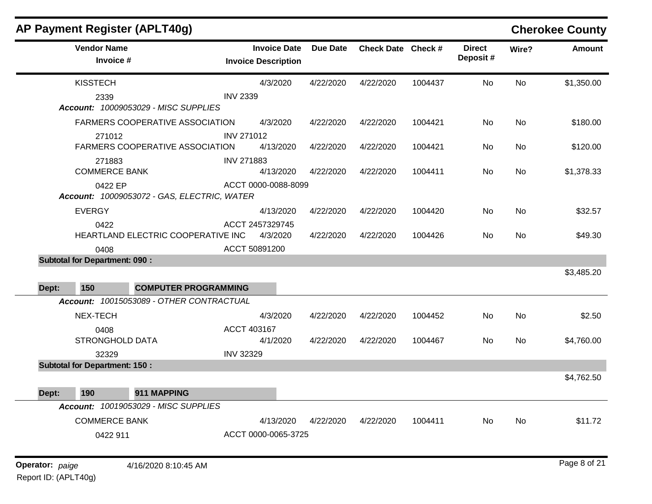| <b>AP Payment Register (APLT40g)</b>                   |                                                   |                 |                    |         |                           |           | <b>Cherokee County</b> |
|--------------------------------------------------------|---------------------------------------------------|-----------------|--------------------|---------|---------------------------|-----------|------------------------|
| <b>Vendor Name</b><br>Invoice #                        | <b>Invoice Date</b><br><b>Invoice Description</b> | <b>Due Date</b> | Check Date Check # |         | <b>Direct</b><br>Deposit# | Wire?     | <b>Amount</b>          |
| <b>KISSTECH</b>                                        | 4/3/2020                                          | 4/22/2020       | 4/22/2020          | 1004437 | No                        | No        | \$1,350.00             |
| 2339<br>Account: 10009053029 - MISC SUPPLIES           | <b>INV 2339</b>                                   |                 |                    |         |                           |           |                        |
| FARMERS COOPERATIVE ASSOCIATION                        | 4/3/2020                                          | 4/22/2020       | 4/22/2020          | 1004421 | No                        | <b>No</b> | \$180.00               |
| 271012<br>FARMERS COOPERATIVE ASSOCIATION              | <b>INV 271012</b><br>4/13/2020                    | 4/22/2020       | 4/22/2020          | 1004421 | No                        | <b>No</b> | \$120.00               |
| 271883<br><b>COMMERCE BANK</b>                         | <b>INV 271883</b><br>4/13/2020                    | 4/22/2020       | 4/22/2020          | 1004411 | No                        | No        | \$1,378.33             |
| 0422 EP<br>Account: 10009053072 - GAS, ELECTRIC, WATER | ACCT 0000-0088-8099                               |                 |                    |         |                           |           |                        |
| <b>EVERGY</b>                                          | 4/13/2020                                         | 4/22/2020       | 4/22/2020          | 1004420 | No                        | <b>No</b> | \$32.57                |
| 0422<br>HEARTLAND ELECTRIC COOPERATIVE INC             | ACCT 2457329745<br>4/3/2020                       | 4/22/2020       | 4/22/2020          | 1004426 | No                        | <b>No</b> | \$49.30                |
| 0408                                                   | ACCT 50891200                                     |                 |                    |         |                           |           |                        |
| <b>Subtotal for Department: 090:</b>                   |                                                   |                 |                    |         |                           |           |                        |
|                                                        |                                                   |                 |                    |         |                           |           | \$3,485.20             |
| 150<br><b>COMPUTER PROGRAMMING</b><br>Dept:            |                                                   |                 |                    |         |                           |           |                        |
| Account: 10015053089 - OTHER CONTRACTUAL               |                                                   |                 |                    |         |                           |           |                        |
| NEX-TECH                                               | 4/3/2020                                          | 4/22/2020       | 4/22/2020          | 1004452 | No                        | No        | \$2.50                 |
| 0408                                                   | ACCT 403167                                       |                 |                    |         |                           |           |                        |
| <b>STRONGHOLD DATA</b>                                 | 4/1/2020                                          | 4/22/2020       | 4/22/2020          | 1004467 | No                        | No        | \$4,760.00             |
| 32329                                                  | <b>INV 32329</b>                                  |                 |                    |         |                           |           |                        |
| <b>Subtotal for Department: 150:</b>                   |                                                   |                 |                    |         |                           |           | \$4,762.50             |
| Dept: 190 911 MAPPING                                  |                                                   |                 |                    |         |                           |           |                        |
| Account: 10019053029 - MISC SUPPLIES                   |                                                   |                 |                    |         |                           |           |                        |
|                                                        |                                                   |                 |                    |         |                           |           |                        |
| <b>COMMERCE BANK</b>                                   | 4/13/2020                                         | 4/22/2020       | 4/22/2020          | 1004411 | No                        | No        | \$11.72                |
| 0422 911                                               | ACCT 0000-0065-3725                               |                 |                    |         |                           |           |                        |
| Operator: paige<br>4/16/2020 8:10:45 AM                |                                                   |                 |                    |         |                           |           | Page 8 of 21           |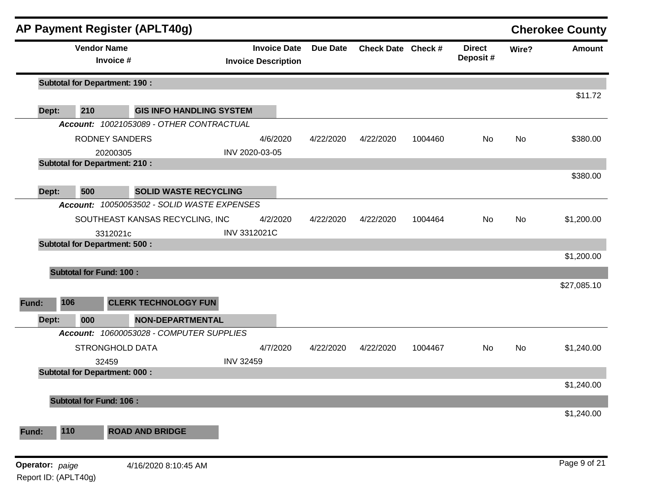|                 |                                      | <b>AP Payment Register (APLT40g)</b>        |                                                   |                 |                    |         |                           |       | <b>Cherokee County</b> |
|-----------------|--------------------------------------|---------------------------------------------|---------------------------------------------------|-----------------|--------------------|---------|---------------------------|-------|------------------------|
|                 | <b>Vendor Name</b><br>Invoice #      |                                             | <b>Invoice Date</b><br><b>Invoice Description</b> | <b>Due Date</b> | Check Date Check # |         | <b>Direct</b><br>Deposit# | Wire? | <b>Amount</b>          |
|                 | <b>Subtotal for Department: 190:</b> |                                             |                                                   |                 |                    |         |                           |       |                        |
| Dept:           | 210                                  | <b>GIS INFO HANDLING SYSTEM</b>             |                                                   |                 |                    |         |                           |       | \$11.72                |
|                 |                                      | Account: 10021053089 - OTHER CONTRACTUAL    |                                                   |                 |                    |         |                           |       |                        |
|                 | <b>RODNEY SANDERS</b>                |                                             | 4/6/2020                                          | 4/22/2020       | 4/22/2020          | 1004460 | No                        | No    | \$380.00               |
|                 | 20200305                             |                                             | INV 2020-03-05                                    |                 |                    |         |                           |       |                        |
|                 | <b>Subtotal for Department: 210:</b> |                                             |                                                   |                 |                    |         |                           |       |                        |
|                 |                                      |                                             |                                                   |                 |                    |         |                           |       | \$380.00               |
| Dept:           | 500                                  | <b>SOLID WASTE RECYCLING</b>                |                                                   |                 |                    |         |                           |       |                        |
|                 |                                      | Account: 10050053502 - SOLID WASTE EXPENSES |                                                   |                 |                    |         |                           |       |                        |
|                 |                                      | SOUTHEAST KANSAS RECYCLING, INC             | 4/2/2020                                          | 4/22/2020       | 4/22/2020          | 1004464 | <b>No</b>                 | No    | \$1,200.00             |
|                 | 3312021c                             |                                             | INV 3312021C                                      |                 |                    |         |                           |       |                        |
|                 | <b>Subtotal for Department: 500:</b> |                                             |                                                   |                 |                    |         |                           |       |                        |
|                 |                                      |                                             |                                                   |                 |                    |         |                           |       | \$1,200.00             |
|                 | <b>Subtotal for Fund: 100:</b>       |                                             |                                                   |                 |                    |         |                           |       |                        |
|                 |                                      |                                             |                                                   |                 |                    |         |                           |       | \$27,085.10            |
|                 |                                      |                                             |                                                   |                 |                    |         |                           |       |                        |
| 106<br>Fund:    |                                      | <b>CLERK TECHNOLOGY FUN</b>                 |                                                   |                 |                    |         |                           |       |                        |
| Dept:           | 000                                  | <b>NON-DEPARTMENTAL</b>                     |                                                   |                 |                    |         |                           |       |                        |
|                 |                                      | Account: 10600053028 - COMPUTER SUPPLIES    |                                                   |                 |                    |         |                           |       |                        |
|                 | <b>STRONGHOLD DATA</b>               |                                             | 4/7/2020                                          | 4/22/2020       | 4/22/2020          | 1004467 | <b>No</b>                 | No    | \$1,240.00             |
|                 | 32459                                |                                             | <b>INV 32459</b>                                  |                 |                    |         |                           |       |                        |
|                 | <b>Subtotal for Department: 000:</b> |                                             |                                                   |                 |                    |         |                           |       |                        |
|                 |                                      |                                             |                                                   |                 |                    |         |                           |       | \$1,240.00             |
|                 | <b>Subtotal for Fund: 106:</b>       |                                             |                                                   |                 |                    |         |                           |       |                        |
|                 |                                      |                                             |                                                   |                 |                    |         |                           |       | \$1,240.00             |
| 110<br>Fund:    |                                      | <b>ROAD AND BRIDGE</b>                      |                                                   |                 |                    |         |                           |       |                        |
|                 |                                      |                                             |                                                   |                 |                    |         |                           |       |                        |
| Operator: paige |                                      | 4/16/2020 8:10:45 AM                        |                                                   |                 |                    |         |                           |       | Page 9 of 21           |
|                 | Report ID: (APLT40g)                 |                                             |                                                   |                 |                    |         |                           |       |                        |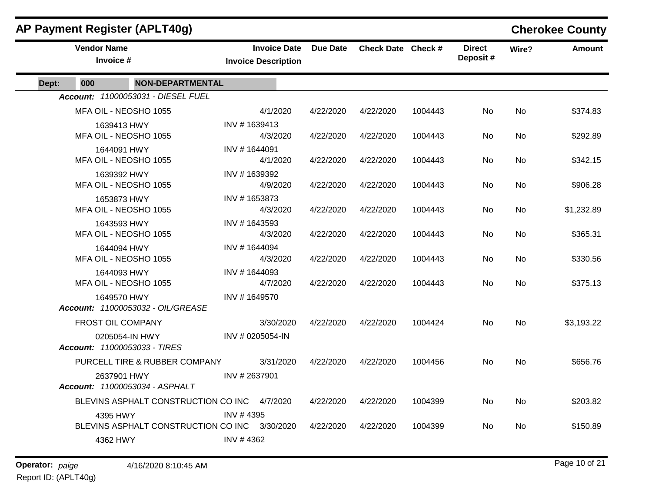|       |                                                | <b>AP Payment Register (APLT40g)</b>         |                                                   |           |                    |         |                           |           | <b>Cherokee County</b> |
|-------|------------------------------------------------|----------------------------------------------|---------------------------------------------------|-----------|--------------------|---------|---------------------------|-----------|------------------------|
|       | <b>Vendor Name</b><br>Invoice #                |                                              | <b>Invoice Date</b><br><b>Invoice Description</b> | Due Date  | Check Date Check # |         | <b>Direct</b><br>Deposit# | Wire?     | <b>Amount</b>          |
| Dept: | 000                                            | <b>NON-DEPARTMENTAL</b>                      |                                                   |           |                    |         |                           |           |                        |
|       |                                                | Account: 11000053031 - DIESEL FUEL           |                                                   |           |                    |         |                           |           |                        |
|       | MFA OIL - NEOSHO 1055                          |                                              | 4/1/2020                                          | 4/22/2020 | 4/22/2020          | 1004443 | No.                       | No        | \$374.83               |
|       | 1639413 HWY                                    |                                              | INV #1639413                                      |           |                    |         |                           |           |                        |
|       | MFA OIL - NEOSHO 1055                          |                                              | 4/3/2020                                          | 4/22/2020 | 4/22/2020          | 1004443 | No.                       | No        | \$292.89               |
|       | 1644091 HWY                                    |                                              | INV #1644091                                      |           |                    |         |                           |           |                        |
|       | MFA OIL - NEOSHO 1055                          |                                              | 4/1/2020                                          | 4/22/2020 | 4/22/2020          | 1004443 | No                        | No        | \$342.15               |
|       | 1639392 HWY<br>MFA OIL - NEOSHO 1055           |                                              | INV #1639392<br>4/9/2020                          | 4/22/2020 | 4/22/2020          | 1004443 | No.                       | <b>No</b> | \$906.28               |
|       | 1653873 HWY                                    |                                              | INV #1653873                                      |           |                    |         |                           |           |                        |
|       | MFA OIL - NEOSHO 1055                          |                                              | 4/3/2020                                          | 4/22/2020 | 4/22/2020          | 1004443 | No                        | No        | \$1,232.89             |
|       | 1643593 HWY                                    |                                              | INV #1643593                                      |           |                    |         |                           |           |                        |
|       | MFA OIL - NEOSHO 1055                          |                                              | 4/3/2020                                          | 4/22/2020 | 4/22/2020          | 1004443 | No                        | No        | \$365.31               |
|       | 1644094 HWY                                    |                                              | INV #1644094                                      |           |                    |         |                           |           |                        |
|       | MFA OIL - NEOSHO 1055                          |                                              | 4/3/2020                                          | 4/22/2020 | 4/22/2020          | 1004443 | No                        | No        | \$330.56               |
|       | 1644093 HWY<br>MFA OIL - NEOSHO 1055           |                                              | INV #1644093<br>4/7/2020                          | 4/22/2020 | 4/22/2020          | 1004443 | No.                       | No        | \$375.13               |
|       | 1649570 HWY                                    |                                              | INV #1649570                                      |           |                    |         |                           |           |                        |
|       |                                                | Account: 11000053032 - OIL/GREASE            |                                                   |           |                    |         |                           |           |                        |
|       | FROST OIL COMPANY                              |                                              | 3/30/2020                                         | 4/22/2020 | 4/22/2020          | 1004424 | No                        | No        | \$3,193.22             |
|       | 0205054-IN HWY<br>Account: 11000053033 - TIRES |                                              | INV # 0205054-IN                                  |           |                    |         |                           |           |                        |
|       |                                                | PURCELL TIRE & RUBBER COMPANY                | 3/31/2020                                         | 4/22/2020 | 4/22/2020          | 1004456 | <b>No</b>                 | No        | \$656.76               |
|       | 2637901 HWY                                    | Account: 11000053034 - ASPHALT               | INV #2637901                                      |           |                    |         |                           |           |                        |
|       |                                                | BLEVINS ASPHALT CONSTRUCTION CO INC 4/7/2020 |                                                   | 4/22/2020 | 4/22/2020          | 1004399 | No                        | No        | \$203.82               |
|       | 4395 HWY                                       |                                              | INV #4395                                         |           |                    |         |                           |           |                        |
|       |                                                | BLEVINS ASPHALT CONSTRUCTION CO INC          | 3/30/2020                                         | 4/22/2020 | 4/22/2020          | 1004399 | No                        | No        | \$150.89               |
|       | 4362 HWY                                       |                                              | INV #4362                                         |           |                    |         |                           |           |                        |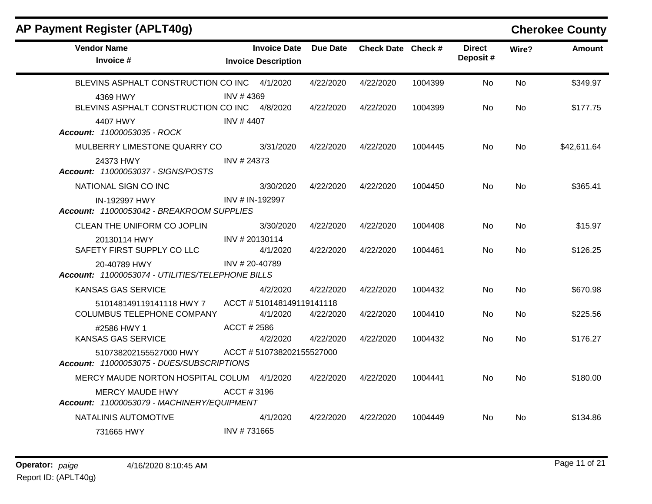| AP Payment Register (APLT40g)                                        |             |                                                   |           |                    |         |                           |           | <b>Cherokee County</b> |
|----------------------------------------------------------------------|-------------|---------------------------------------------------|-----------|--------------------|---------|---------------------------|-----------|------------------------|
| <b>Vendor Name</b><br>Invoice #                                      |             | <b>Invoice Date</b><br><b>Invoice Description</b> | Due Date  | Check Date Check # |         | <b>Direct</b><br>Deposit# | Wire?     | <b>Amount</b>          |
| BLEVINS ASPHALT CONSTRUCTION CO INC 4/1/2020                         |             |                                                   | 4/22/2020 | 4/22/2020          | 1004399 | No.                       | <b>No</b> | \$349.97               |
| 4369 HWY<br>BLEVINS ASPHALT CONSTRUCTION CO INC 4/8/2020             | INV #4369   |                                                   | 4/22/2020 | 4/22/2020          | 1004399 | No.                       | No.       | \$177.75               |
| 4407 HWY<br>Account: 11000053035 - ROCK                              | INV #4407   |                                                   |           |                    |         |                           |           |                        |
| MULBERRY LIMESTONE QUARRY CO                                         |             | 3/31/2020                                         | 4/22/2020 | 4/22/2020          | 1004445 | No.                       | <b>No</b> | \$42,611.64            |
| 24373 HWY<br>Account: 11000053037 - SIGNS/POSTS                      | INV # 24373 |                                                   |           |                    |         |                           |           |                        |
| NATIONAL SIGN CO INC                                                 |             | 3/30/2020                                         | 4/22/2020 | 4/22/2020          | 1004450 | No.                       | No.       | \$365.41               |
| IN-192997 HWY<br>Account: 11000053042 - BREAKROOM SUPPLIES           |             | INV # IN-192997                                   |           |                    |         |                           |           |                        |
| CLEAN THE UNIFORM CO JOPLIN                                          |             | 3/30/2020                                         | 4/22/2020 | 4/22/2020          | 1004408 | No                        | <b>No</b> | \$15.97                |
| 20130114 HWY<br>SAFETY FIRST SUPPLY CO LLC                           |             | INV # 20130114<br>4/1/2020                        | 4/22/2020 | 4/22/2020          | 1004461 | No.                       | <b>No</b> | \$126.25               |
| 20-40789 HWY<br>Account: 11000053074 - UTILITIES/TELEPHONE BILLS     |             | INV # 20-40789                                    |           |                    |         |                           |           |                        |
| KANSAS GAS SERVICE                                                   |             | 4/2/2020                                          | 4/22/2020 | 4/22/2020          | 1004432 | No                        | No.       | \$670.98               |
| 510148149119141118 HWY 7<br>COLUMBUS TELEPHONE COMPANY               |             | ACCT #510148149119141118<br>4/1/2020              | 4/22/2020 | 4/22/2020          | 1004410 | No                        | No        | \$225.56               |
| #2586 HWY 1<br>KANSAS GAS SERVICE                                    | ACCT # 2586 | 4/2/2020                                          | 4/22/2020 | 4/22/2020          | 1004432 | No.                       | No        | \$176.27               |
| 510738202155527000 HWY<br>Account: 11000053075 - DUES/SUBSCRIPTIONS  |             | ACCT #510738202155527000                          |           |                    |         |                           |           |                        |
| MERCY MAUDE NORTON HOSPITAL COLUM                                    |             | 4/1/2020                                          | 4/22/2020 | 4/22/2020          | 1004441 | No.                       | No.       | \$180.00               |
| <b>MERCY MAUDE HWY</b><br>Account: 11000053079 - MACHINERY/EQUIPMENT | ACCT#3196   |                                                   |           |                    |         |                           |           |                        |
| NATALINIS AUTOMOTIVE                                                 |             | 4/1/2020                                          | 4/22/2020 | 4/22/2020          | 1004449 | No.                       | No.       | \$134.86               |
| 731665 HWY                                                           | INV #731665 |                                                   |           |                    |         |                           |           |                        |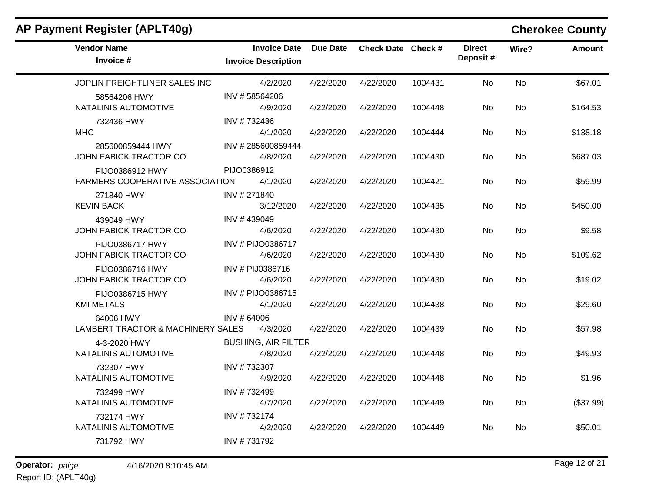| AP Payment Register (APLT40g)                             |                                                   |                 |                    |         |                           |           | <b>Cherokee County</b> |
|-----------------------------------------------------------|---------------------------------------------------|-----------------|--------------------|---------|---------------------------|-----------|------------------------|
| <b>Vendor Name</b><br>Invoice #                           | <b>Invoice Date</b><br><b>Invoice Description</b> | <b>Due Date</b> | Check Date Check # |         | <b>Direct</b><br>Deposit# | Wire?     | <b>Amount</b>          |
| JOPLIN FREIGHTLINER SALES INC                             | 4/2/2020                                          | 4/22/2020       | 4/22/2020          | 1004431 | <b>No</b>                 | <b>No</b> | \$67.01                |
| 58564206 HWY<br>NATALINIS AUTOMOTIVE                      | INV #58564206<br>4/9/2020                         | 4/22/2020       | 4/22/2020          | 1004448 | No                        | <b>No</b> | \$164.53               |
| 732436 HWY<br><b>MHC</b>                                  | INV #732436<br>4/1/2020                           | 4/22/2020       | 4/22/2020          | 1004444 | No                        | No.       | \$138.18               |
| 285600859444 HWY<br>JOHN FABICK TRACTOR CO                | INV #285600859444<br>4/8/2020                     | 4/22/2020       | 4/22/2020          | 1004430 | No                        | No        | \$687.03               |
| PIJO0386912 HWY<br><b>FARMERS COOPERATIVE ASSOCIATION</b> | PIJO0386912<br>4/1/2020                           | 4/22/2020       | 4/22/2020          | 1004421 | No                        | No        | \$59.99                |
| 271840 HWY<br><b>KEVIN BACK</b>                           | INV #271840<br>3/12/2020                          | 4/22/2020       | 4/22/2020          | 1004435 | No                        | No        | \$450.00               |
| 439049 HWY<br>JOHN FABICK TRACTOR CO                      | INV #439049<br>4/6/2020                           | 4/22/2020       | 4/22/2020          | 1004430 | No                        | No.       | \$9.58                 |
| PIJO0386717 HWY<br>JOHN FABICK TRACTOR CO                 | INV # PIJO0386717<br>4/6/2020                     | 4/22/2020       | 4/22/2020          | 1004430 | No                        | No        | \$109.62               |
| PIJO0386716 HWY<br>JOHN FABICK TRACTOR CO                 | INV # PIJ0386716<br>4/6/2020                      | 4/22/2020       | 4/22/2020          | 1004430 | No                        | <b>No</b> | \$19.02                |
| PIJO0386715 HWY<br><b>KMI METALS</b>                      | INV # PIJO0386715<br>4/1/2020                     | 4/22/2020       | 4/22/2020          | 1004438 | No                        | No        | \$29.60                |
| 64006 HWY<br>LAMBERT TRACTOR & MACHINERY SALES            | INV # 64006<br>4/3/2020                           | 4/22/2020       | 4/22/2020          | 1004439 | No                        | <b>No</b> | \$57.98                |
| 4-3-2020 HWY<br>NATALINIS AUTOMOTIVE                      | <b>BUSHING, AIR FILTER</b><br>4/8/2020            | 4/22/2020       | 4/22/2020          | 1004448 | No                        | <b>No</b> | \$49.93                |
| 732307 HWY<br>NATALINIS AUTOMOTIVE                        | INV #732307<br>4/9/2020                           | 4/22/2020       | 4/22/2020          | 1004448 | No                        | <b>No</b> | \$1.96                 |
| 732499 HWY<br>NATALINIS AUTOMOTIVE                        | INV #732499<br>4/7/2020                           | 4/22/2020       | 4/22/2020          | 1004449 | No                        | No        | (\$37.99)              |
| 732174 HWY<br>NATALINIS AUTOMOTIVE                        | INV #732174<br>4/2/2020                           | 4/22/2020       | 4/22/2020          | 1004449 | No                        | No        | \$50.01                |
| 731792 HWY                                                | INV #731792                                       |                 |                    |         |                           |           |                        |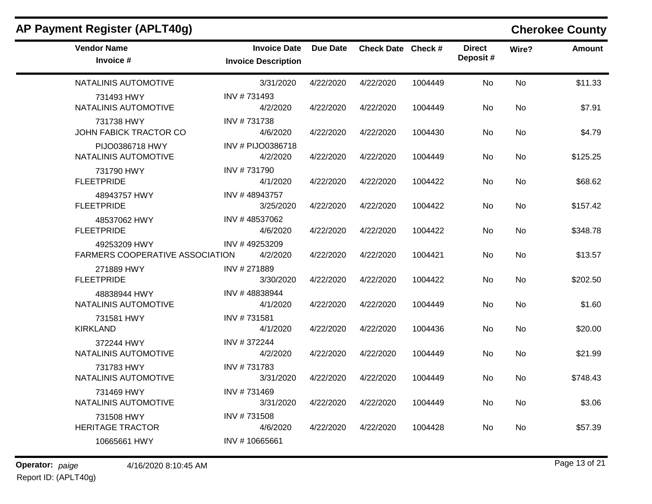| AP Payment Register (APLT40g)                   |                                                   |           |                    |         |                           |           | <b>Cherokee County</b> |
|-------------------------------------------------|---------------------------------------------------|-----------|--------------------|---------|---------------------------|-----------|------------------------|
| <b>Vendor Name</b><br>Invoice #                 | <b>Invoice Date</b><br><b>Invoice Description</b> | Due Date  | Check Date Check # |         | <b>Direct</b><br>Deposit# | Wire?     | <b>Amount</b>          |
| NATALINIS AUTOMOTIVE                            | 3/31/2020                                         | 4/22/2020 | 4/22/2020          | 1004449 | No                        | No        | \$11.33                |
| 731493 HWY<br>NATALINIS AUTOMOTIVE              | INV #731493<br>4/2/2020                           | 4/22/2020 | 4/22/2020          | 1004449 | No                        | <b>No</b> | \$7.91                 |
| 731738 HWY<br>JOHN FABICK TRACTOR CO            | INV #731738<br>4/6/2020                           | 4/22/2020 | 4/22/2020          | 1004430 | No                        | No        | \$4.79                 |
| PIJO0386718 HWY<br>NATALINIS AUTOMOTIVE         | INV # PIJO0386718<br>4/2/2020                     | 4/22/2020 | 4/22/2020          | 1004449 | No                        | No        | \$125.25               |
| 731790 HWY<br><b>FLEETPRIDE</b>                 | INV #731790<br>4/1/2020                           | 4/22/2020 | 4/22/2020          | 1004422 | No                        | No        | \$68.62                |
| 48943757 HWY<br><b>FLEETPRIDE</b>               | INV #48943757<br>3/25/2020                        | 4/22/2020 | 4/22/2020          | 1004422 | No                        | No        | \$157.42               |
| 48537062 HWY<br><b>FLEETPRIDE</b>               | INV #48537062<br>4/6/2020                         | 4/22/2020 | 4/22/2020          | 1004422 | No                        | No        | \$348.78               |
| 49253209 HWY<br>FARMERS COOPERATIVE ASSOCIATION | INV #49253209<br>4/2/2020                         | 4/22/2020 | 4/22/2020          | 1004421 | No                        | <b>No</b> | \$13.57                |
| 271889 HWY<br><b>FLEETPRIDE</b>                 | INV # 271889<br>3/30/2020                         | 4/22/2020 | 4/22/2020          | 1004422 | No                        | <b>No</b> | \$202.50               |
| 48838944 HWY<br>NATALINIS AUTOMOTIVE            | INV #48838944<br>4/1/2020                         | 4/22/2020 | 4/22/2020          | 1004449 | No                        | No        | \$1.60                 |
| 731581 HWY<br><b>KIRKLAND</b>                   | INV #731581<br>4/1/2020                           | 4/22/2020 | 4/22/2020          | 1004436 | No                        | No        | \$20.00                |
| 372244 HWY<br>NATALINIS AUTOMOTIVE              | INV #372244<br>4/2/2020                           | 4/22/2020 | 4/22/2020          | 1004449 | No                        | No.       | \$21.99                |
| 731783 HWY<br>NATALINIS AUTOMOTIVE              | INV #731783<br>3/31/2020                          | 4/22/2020 | 4/22/2020          | 1004449 | No                        | No        | \$748.43               |
| 731469 HWY<br>NATALINIS AUTOMOTIVE              | INV #731469<br>3/31/2020                          | 4/22/2020 | 4/22/2020          | 1004449 | No                        | No        | \$3.06                 |
| 731508 HWY<br><b>HERITAGE TRACTOR</b>           | INV #731508<br>4/6/2020                           | 4/22/2020 | 4/22/2020          | 1004428 | No                        | No        | \$57.39                |
| 10665661 HWY                                    | INV #10665661                                     |           |                    |         |                           |           |                        |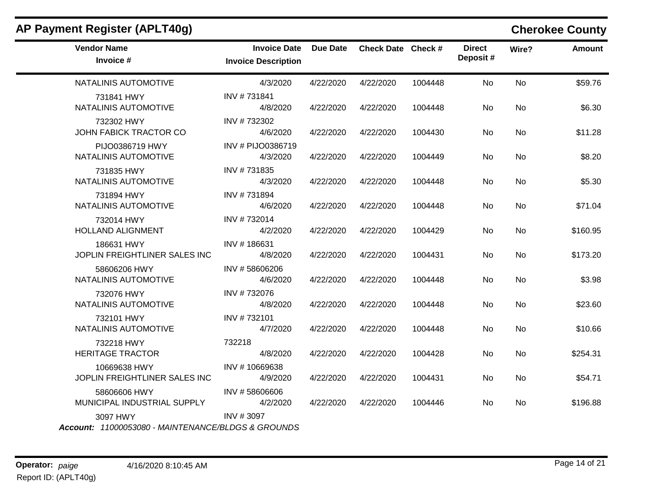| AP Payment Register (APLT40g)                                  |                                                   |                 |                    |         |                           |           | <b>Cherokee County</b> |
|----------------------------------------------------------------|---------------------------------------------------|-----------------|--------------------|---------|---------------------------|-----------|------------------------|
| <b>Vendor Name</b><br>Invoice #                                | <b>Invoice Date</b><br><b>Invoice Description</b> | <b>Due Date</b> | Check Date Check # |         | <b>Direct</b><br>Deposit# | Wire?     | <b>Amount</b>          |
| NATALINIS AUTOMOTIVE                                           | 4/3/2020                                          | 4/22/2020       | 4/22/2020          | 1004448 | <b>No</b>                 | <b>No</b> | \$59.76                |
| 731841 HWY<br>NATALINIS AUTOMOTIVE                             | INV #731841<br>4/8/2020                           | 4/22/2020       | 4/22/2020          | 1004448 | No                        | No        | \$6.30                 |
| 732302 HWY<br><b>JOHN FABICK TRACTOR CO</b>                    | INV #732302<br>4/6/2020                           | 4/22/2020       | 4/22/2020          | 1004430 | No                        | No        | \$11.28                |
| PIJO0386719 HWY<br>NATALINIS AUTOMOTIVE                        | INV # PIJO0386719<br>4/3/2020                     | 4/22/2020       | 4/22/2020          | 1004449 | No                        | No        | \$8.20                 |
| 731835 HWY<br>NATALINIS AUTOMOTIVE                             | INV #731835<br>4/3/2020                           | 4/22/2020       | 4/22/2020          | 1004448 | No                        | No        | \$5.30                 |
| 731894 HWY<br>NATALINIS AUTOMOTIVE                             | INV #731894<br>4/6/2020                           | 4/22/2020       | 4/22/2020          | 1004448 | No.                       | No        | \$71.04                |
| 732014 HWY<br><b>HOLLAND ALIGNMENT</b>                         | INV #732014<br>4/2/2020                           | 4/22/2020       | 4/22/2020          | 1004429 | <b>No</b>                 | No        | \$160.95               |
| 186631 HWY<br>JOPLIN FREIGHTLINER SALES INC                    | INV #186631<br>4/8/2020                           | 4/22/2020       | 4/22/2020          | 1004431 | <b>No</b>                 | No        | \$173.20               |
| 58606206 HWY<br>NATALINIS AUTOMOTIVE                           | INV #58606206<br>4/6/2020                         | 4/22/2020       | 4/22/2020          | 1004448 | <b>No</b>                 | No        | \$3.98                 |
| 732076 HWY<br>NATALINIS AUTOMOTIVE                             | INV #732076<br>4/8/2020                           | 4/22/2020       | 4/22/2020          | 1004448 | <b>No</b>                 | <b>No</b> | \$23.60                |
| 732101 HWY<br>NATALINIS AUTOMOTIVE                             | INV #732101<br>4/7/2020                           | 4/22/2020       | 4/22/2020          | 1004448 | No                        | <b>No</b> | \$10.66                |
| 732218 HWY<br><b>HERITAGE TRACTOR</b>                          | 732218<br>4/8/2020                                | 4/22/2020       | 4/22/2020          | 1004428 | No                        | No        | \$254.31               |
| 10669638 HWY<br>JOPLIN FREIGHTLINER SALES INC                  | INV #10669638<br>4/9/2020                         | 4/22/2020       | 4/22/2020          | 1004431 | No                        | No        | \$54.71                |
| 58606606 HWY<br>MUNICIPAL INDUSTRIAL SUPPLY                    | INV #58606606<br>4/2/2020                         | 4/22/2020       | 4/22/2020          | 1004446 | No.                       | No        | \$196.88               |
| 3097 HWY<br>Account: 11000053080 - MAINTENANCE/BLDGS & GROUNDS | INV #3097                                         |                 |                    |         |                           |           |                        |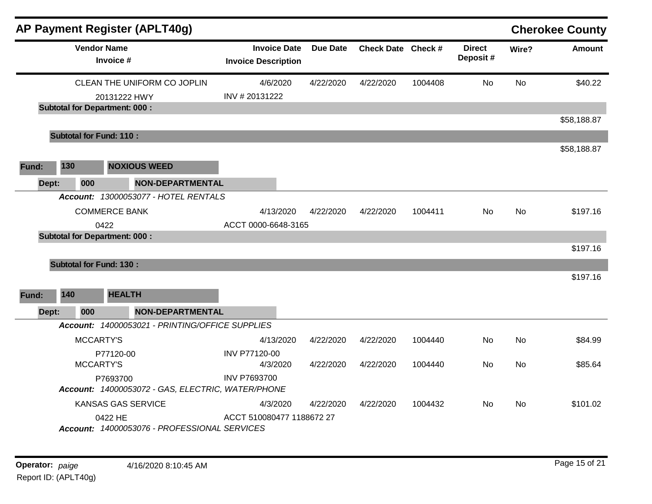|       |     | AP Payment Register (APLT40g)                                                       |                                                   |           |                    |         |                           |           | <b>Cherokee County</b> |
|-------|-----|-------------------------------------------------------------------------------------|---------------------------------------------------|-----------|--------------------|---------|---------------------------|-----------|------------------------|
|       |     | <b>Vendor Name</b><br>Invoice #                                                     | <b>Invoice Date</b><br><b>Invoice Description</b> | Due Date  | Check Date Check # |         | <b>Direct</b><br>Deposit# | Wire?     | <b>Amount</b>          |
|       |     | CLEAN THE UNIFORM CO JOPLIN<br>20131222 HWY<br><b>Subtotal for Department: 000:</b> | 4/6/2020<br>INV # 20131222                        | 4/22/2020 | 4/22/2020          | 1004408 | <b>No</b>                 | <b>No</b> | \$40.22                |
|       |     |                                                                                     |                                                   |           |                    |         |                           |           | \$58,188.87            |
|       |     | <b>Subtotal for Fund: 110:</b>                                                      |                                                   |           |                    |         |                           |           |                        |
| Fund: | 130 | <b>NOXIOUS WEED</b>                                                                 |                                                   |           |                    |         |                           |           | \$58,188.87            |
| Dept: | 000 | <b>NON-DEPARTMENTAL</b>                                                             |                                                   |           |                    |         |                           |           |                        |
|       |     | Account: 13000053077 - HOTEL RENTALS                                                |                                                   |           |                    |         |                           |           |                        |
|       |     | <b>COMMERCE BANK</b>                                                                | 4/13/2020                                         | 4/22/2020 | 4/22/2020          | 1004411 | No                        | <b>No</b> | \$197.16               |
|       |     | 0422<br><b>Subtotal for Department: 000:</b>                                        | ACCT 0000-6648-3165                               |           |                    |         |                           |           |                        |
|       |     |                                                                                     |                                                   |           |                    |         |                           |           | \$197.16               |
|       |     | <b>Subtotal for Fund: 130:</b>                                                      |                                                   |           |                    |         |                           |           |                        |
|       |     |                                                                                     |                                                   |           |                    |         |                           |           | \$197.16               |
| Fund: | 140 | <b>HEALTH</b>                                                                       |                                                   |           |                    |         |                           |           |                        |
| Dept: | 000 | <b>NON-DEPARTMENTAL</b>                                                             |                                                   |           |                    |         |                           |           |                        |
|       |     | Account: 14000053021 - PRINTING/OFFICE SUPPLIES                                     |                                                   |           |                    |         |                           |           |                        |
|       |     | MCCARTY'S                                                                           | 4/13/2020                                         | 4/22/2020 | 4/22/2020          | 1004440 | No                        | No        | \$84.99                |
|       |     | P77120-00<br>MCCARTY'S                                                              | INV P77120-00<br>4/3/2020                         | 4/22/2020 | 4/22/2020          | 1004440 | No.                       | No.       | \$85.64                |
|       |     | P7693700<br>Account: 14000053072 - GAS, ELECTRIC, WATER/PHONE                       | <b>INV P7693700</b>                               |           |                    |         |                           |           |                        |
|       |     | KANSAS GAS SERVICE                                                                  | 4/3/2020                                          | 4/22/2020 | 4/22/2020          | 1004432 | No                        | No        | \$101.02               |
|       |     | 0422 HE<br>Account: 14000053076 - PROFESSIONAL SERVICES                             | ACCT 510080477 1188672 27                         |           |                    |         |                           |           |                        |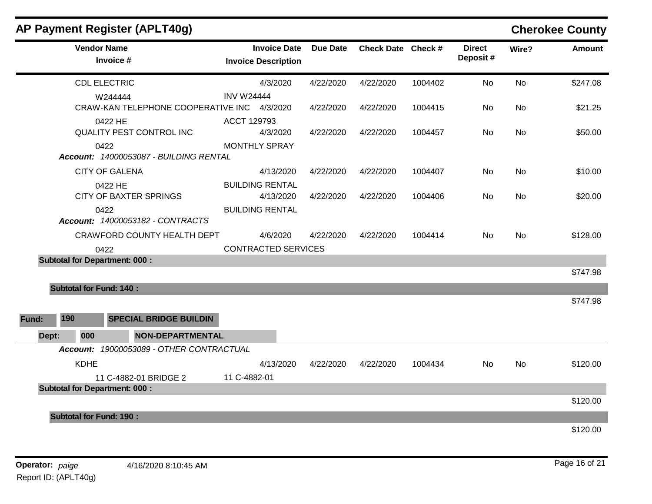|       |                                      | AP Payment Register (APLT40g)               |                            |                     |           |                    |         |                           |           | <b>Cherokee County</b> |
|-------|--------------------------------------|---------------------------------------------|----------------------------|---------------------|-----------|--------------------|---------|---------------------------|-----------|------------------------|
|       | <b>Vendor Name</b><br>Invoice #      |                                             | <b>Invoice Description</b> | <b>Invoice Date</b> | Due Date  | Check Date Check # |         | <b>Direct</b><br>Deposit# | Wire?     | <b>Amount</b>          |
|       | <b>CDL ELECTRIC</b>                  |                                             |                            | 4/3/2020            | 4/22/2020 | 4/22/2020          | 1004402 | <b>No</b>                 | <b>No</b> | \$247.08               |
|       | W244444                              | CRAW-KAN TELEPHONE COOPERATIVE INC 4/3/2020 | <b>INV W24444</b>          |                     | 4/22/2020 | 4/22/2020          | 1004415 | No.                       | No        | \$21.25                |
|       | 0422 HE                              | <b>QUALITY PEST CONTROL INC</b>             | ACCT 129793                | 4/3/2020            | 4/22/2020 | 4/22/2020          | 1004457 | No                        | No        | \$50.00                |
|       | 0422                                 | Account: 14000053087 - BUILDING RENTAL      | <b>MONTHLY SPRAY</b>       |                     |           |                    |         |                           |           |                        |
|       | <b>CITY OF GALENA</b>                |                                             |                            | 4/13/2020           | 4/22/2020 | 4/22/2020          | 1004407 | No                        | <b>No</b> | \$10.00                |
|       | 0422 HE                              | <b>CITY OF BAXTER SPRINGS</b>               | <b>BUILDING RENTAL</b>     | 4/13/2020           | 4/22/2020 | 4/22/2020          | 1004406 | No.                       | <b>No</b> | \$20.00                |
|       | 0422                                 | Account: 14000053182 - CONTRACTS            | <b>BUILDING RENTAL</b>     |                     |           |                    |         |                           |           |                        |
|       |                                      | CRAWFORD COUNTY HEALTH DEPT                 |                            | 4/6/2020            | 4/22/2020 | 4/22/2020          | 1004414 | No                        | No        | \$128.00               |
|       | 0422                                 |                                             | <b>CONTRACTED SERVICES</b> |                     |           |                    |         |                           |           |                        |
|       | <b>Subtotal for Department: 000:</b> |                                             |                            |                     |           |                    |         |                           |           | \$747.98               |
|       | <b>Subtotal for Fund: 140:</b>       |                                             |                            |                     |           |                    |         |                           |           |                        |
|       |                                      |                                             |                            |                     |           |                    |         |                           |           | \$747.98               |
| Fund: | 190                                  | <b>SPECIAL BRIDGE BUILDIN</b>               |                            |                     |           |                    |         |                           |           |                        |
| Dept: | 000                                  | <b>NON-DEPARTMENTAL</b>                     |                            |                     |           |                    |         |                           |           |                        |
|       |                                      | Account: 19000053089 - OTHER CONTRACTUAL    |                            |                     |           |                    |         |                           |           |                        |
|       | <b>KDHE</b>                          |                                             |                            | 4/13/2020           | 4/22/2020 | 4/22/2020          | 1004434 | No                        | No        | \$120.00               |
|       |                                      | 11 C-4882-01 BRIDGE 2                       | 11 C-4882-01               |                     |           |                    |         |                           |           |                        |
|       | <b>Subtotal for Department: 000:</b> |                                             |                            |                     |           |                    |         |                           |           |                        |
|       |                                      |                                             |                            |                     |           |                    |         |                           |           | \$120.00               |
|       | <b>Subtotal for Fund: 190:</b>       |                                             |                            |                     |           |                    |         |                           |           |                        |
|       |                                      |                                             |                            |                     |           |                    |         |                           |           | \$120.00               |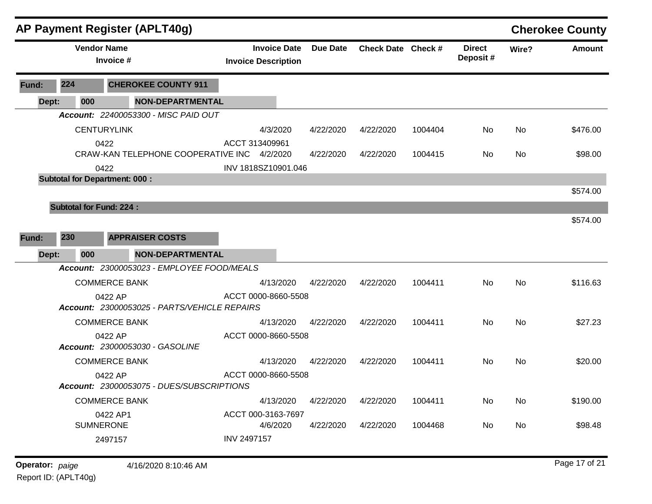|       |                                | <b>AP Payment Register (APLT40g)</b>         |                                                   |                 |                    |         |                           |       | <b>Cherokee County</b> |
|-------|--------------------------------|----------------------------------------------|---------------------------------------------------|-----------------|--------------------|---------|---------------------------|-------|------------------------|
|       | <b>Vendor Name</b>             | Invoice #                                    | <b>Invoice Date</b><br><b>Invoice Description</b> | <b>Due Date</b> | Check Date Check # |         | <b>Direct</b><br>Deposit# | Wire? | <b>Amount</b>          |
| Fund: | 224                            | <b>CHEROKEE COUNTY 911</b>                   |                                                   |                 |                    |         |                           |       |                        |
| Dept: | 000                            | <b>NON-DEPARTMENTAL</b>                      |                                                   |                 |                    |         |                           |       |                        |
|       |                                | Account: 22400053300 - MISC PAID OUT         |                                                   |                 |                    |         |                           |       |                        |
|       |                                | <b>CENTURYLINK</b>                           | 4/3/2020                                          | 4/22/2020       | 4/22/2020          | 1004404 | No                        | No    | \$476.00               |
|       |                                | 0422                                         | ACCT 313409961                                    |                 |                    |         |                           |       |                        |
|       |                                | CRAW-KAN TELEPHONE COOPERATIVE INC 4/2/2020  |                                                   | 4/22/2020       | 4/22/2020          | 1004415 | No                        | No    | \$98.00                |
|       |                                | 0422                                         | INV 1818SZ10901.046                               |                 |                    |         |                           |       |                        |
|       |                                | <b>Subtotal for Department: 000:</b>         |                                                   |                 |                    |         |                           |       |                        |
|       |                                |                                              |                                                   |                 |                    |         |                           |       | \$574.00               |
|       | <b>Subtotal for Fund: 224:</b> |                                              |                                                   |                 |                    |         |                           |       |                        |
|       |                                |                                              |                                                   |                 |                    |         |                           |       | \$574.00               |
| Fund: | 230                            | <b>APPRAISER COSTS</b>                       |                                                   |                 |                    |         |                           |       |                        |
| Dept: | 000                            | <b>NON-DEPARTMENTAL</b>                      |                                                   |                 |                    |         |                           |       |                        |
|       |                                | Account: 23000053023 - EMPLOYEE FOOD/MEALS   |                                                   |                 |                    |         |                           |       |                        |
|       |                                | <b>COMMERCE BANK</b>                         | 4/13/2020                                         | 4/22/2020       | 4/22/2020          | 1004411 | No                        | No    | \$116.63               |
|       |                                | 0422 AP                                      | ACCT 0000-8660-5508                               |                 |                    |         |                           |       |                        |
|       |                                | Account: 23000053025 - PARTS/VEHICLE REPAIRS |                                                   |                 |                    |         |                           |       |                        |
|       |                                | <b>COMMERCE BANK</b>                         | 4/13/2020                                         | 4/22/2020       | 4/22/2020          | 1004411 | No                        | No    | \$27.23                |
|       |                                | 0422 AP                                      | ACCT 0000-8660-5508                               |                 |                    |         |                           |       |                        |
|       |                                | Account: 23000053030 - GASOLINE              |                                                   |                 |                    |         |                           |       |                        |
|       |                                | <b>COMMERCE BANK</b>                         | 4/13/2020                                         | 4/22/2020       | 4/22/2020          | 1004411 | No                        | No    | \$20.00                |
|       |                                | 0422 AP                                      | ACCT 0000-8660-5508                               |                 |                    |         |                           |       |                        |
|       |                                | Account: 23000053075 - DUES/SUBSCRIPTIONS    |                                                   |                 |                    |         |                           |       |                        |
|       |                                | <b>COMMERCE BANK</b>                         | 4/13/2020                                         | 4/22/2020       | 4/22/2020          | 1004411 | No                        | No    | \$190.00               |
|       |                                | 0422 AP1                                     | ACCT 000-3163-7697                                |                 |                    |         |                           |       |                        |
|       | <b>SUMNERONE</b>               |                                              | 4/6/2020                                          | 4/22/2020       | 4/22/2020          | 1004468 | No                        | No    | \$98.48                |
|       |                                | 2497157                                      | INV 2497157                                       |                 |                    |         |                           |       |                        |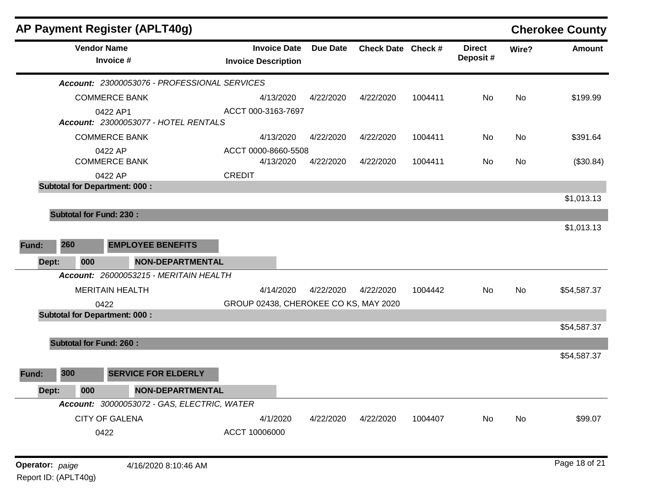| <b>Vendor Name</b><br>Invoice #<br>Account: 23000053076 - PROFESSIONAL SERVICES<br><b>COMMERCE BANK</b><br>0422 AP1<br>Account: 23000053077 - HOTEL RENTALS<br><b>COMMERCE BANK</b><br>0422 AP<br><b>COMMERCE BANK</b><br>0422 AP<br><b>Subtotal for Department: 000:</b><br><b>Subtotal for Fund: 230:</b><br>260<br><b>EMPLOYEE BENEFITS</b><br>Dept:<br><b>NON-DEPARTMENTAL</b><br>000<br>Account: 26000053215 - MERITAIN HEALTH<br><b>MERITAIN HEALTH</b><br>0422<br><b>Subtotal for Department: 000:</b><br><b>Subtotal for Fund: 260:</b><br>300<br><b>SERVICE FOR ELDERLY</b><br>000<br><b>NON-DEPARTMENTAL</b><br>Dept:<br>Account: 30000053072 - GAS, ELECTRIC, WATER<br><b>CITY OF GALENA</b> |                                                   |                 |                    |         |                           |       | <b>Cherokee County</b> |
|---------------------------------------------------------------------------------------------------------------------------------------------------------------------------------------------------------------------------------------------------------------------------------------------------------------------------------------------------------------------------------------------------------------------------------------------------------------------------------------------------------------------------------------------------------------------------------------------------------------------------------------------------------------------------------------------------------|---------------------------------------------------|-----------------|--------------------|---------|---------------------------|-------|------------------------|
| Fund:<br>Fund:                                                                                                                                                                                                                                                                                                                                                                                                                                                                                                                                                                                                                                                                                          | <b>Invoice Date</b><br><b>Invoice Description</b> | <b>Due Date</b> | Check Date Check # |         | <b>Direct</b><br>Deposit# | Wire? | <b>Amount</b>          |
|                                                                                                                                                                                                                                                                                                                                                                                                                                                                                                                                                                                                                                                                                                         |                                                   |                 |                    |         |                           |       |                        |
|                                                                                                                                                                                                                                                                                                                                                                                                                                                                                                                                                                                                                                                                                                         | 4/13/2020                                         | 4/22/2020       | 4/22/2020          | 1004411 | No                        | No    | \$199.99               |
|                                                                                                                                                                                                                                                                                                                                                                                                                                                                                                                                                                                                                                                                                                         | ACCT 000-3163-7697                                |                 |                    |         |                           |       |                        |
|                                                                                                                                                                                                                                                                                                                                                                                                                                                                                                                                                                                                                                                                                                         | 4/13/2020                                         | 4/22/2020       | 4/22/2020          | 1004411 | No                        | No    | \$391.64               |
|                                                                                                                                                                                                                                                                                                                                                                                                                                                                                                                                                                                                                                                                                                         | ACCT 0000-8660-5508<br>4/13/2020                  | 4/22/2020       | 4/22/2020          | 1004411 | No.                       | No.   | (\$30.84)              |
|                                                                                                                                                                                                                                                                                                                                                                                                                                                                                                                                                                                                                                                                                                         | <b>CREDIT</b>                                     |                 |                    |         |                           |       |                        |
|                                                                                                                                                                                                                                                                                                                                                                                                                                                                                                                                                                                                                                                                                                         |                                                   |                 |                    |         |                           |       |                        |
|                                                                                                                                                                                                                                                                                                                                                                                                                                                                                                                                                                                                                                                                                                         |                                                   |                 |                    |         |                           |       | \$1,013.13             |
|                                                                                                                                                                                                                                                                                                                                                                                                                                                                                                                                                                                                                                                                                                         |                                                   |                 |                    |         |                           |       |                        |
|                                                                                                                                                                                                                                                                                                                                                                                                                                                                                                                                                                                                                                                                                                         |                                                   |                 |                    |         |                           |       | \$1,013.13             |
|                                                                                                                                                                                                                                                                                                                                                                                                                                                                                                                                                                                                                                                                                                         |                                                   |                 |                    |         |                           |       |                        |
|                                                                                                                                                                                                                                                                                                                                                                                                                                                                                                                                                                                                                                                                                                         |                                                   |                 |                    |         |                           |       |                        |
|                                                                                                                                                                                                                                                                                                                                                                                                                                                                                                                                                                                                                                                                                                         |                                                   |                 |                    |         |                           |       |                        |
|                                                                                                                                                                                                                                                                                                                                                                                                                                                                                                                                                                                                                                                                                                         | 4/14/2020                                         | 4/22/2020       | 4/22/2020          | 1004442 | No                        | No    | \$54,587.37            |
|                                                                                                                                                                                                                                                                                                                                                                                                                                                                                                                                                                                                                                                                                                         | GROUP 02438, CHEROKEE CO KS, MAY 2020             |                 |                    |         |                           |       |                        |
|                                                                                                                                                                                                                                                                                                                                                                                                                                                                                                                                                                                                                                                                                                         |                                                   |                 |                    |         |                           |       |                        |
|                                                                                                                                                                                                                                                                                                                                                                                                                                                                                                                                                                                                                                                                                                         |                                                   |                 |                    |         |                           |       | \$54,587.37            |
|                                                                                                                                                                                                                                                                                                                                                                                                                                                                                                                                                                                                                                                                                                         |                                                   |                 |                    |         |                           |       |                        |
|                                                                                                                                                                                                                                                                                                                                                                                                                                                                                                                                                                                                                                                                                                         |                                                   |                 |                    |         |                           |       | \$54,587.37            |
|                                                                                                                                                                                                                                                                                                                                                                                                                                                                                                                                                                                                                                                                                                         |                                                   |                 |                    |         |                           |       |                        |
|                                                                                                                                                                                                                                                                                                                                                                                                                                                                                                                                                                                                                                                                                                         |                                                   |                 |                    |         |                           |       |                        |
|                                                                                                                                                                                                                                                                                                                                                                                                                                                                                                                                                                                                                                                                                                         |                                                   |                 |                    |         |                           |       |                        |
|                                                                                                                                                                                                                                                                                                                                                                                                                                                                                                                                                                                                                                                                                                         | 4/1/2020                                          | 4/22/2020       | 4/22/2020          | 1004407 | <b>No</b>                 | No    | \$99.07                |
| 0422                                                                                                                                                                                                                                                                                                                                                                                                                                                                                                                                                                                                                                                                                                    | ACCT 10006000                                     |                 |                    |         |                           |       |                        |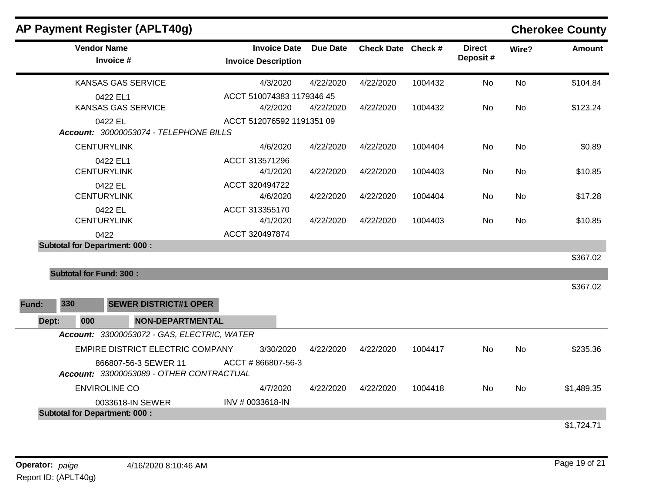|       |                                       | AP Payment Register (APLT40g)                                    |                            |                     |           |                    |         |                           |           | <b>Cherokee County</b> |
|-------|---------------------------------------|------------------------------------------------------------------|----------------------------|---------------------|-----------|--------------------|---------|---------------------------|-----------|------------------------|
|       | <b>Vendor Name</b><br>Invoice #       |                                                                  | <b>Invoice Description</b> | <b>Invoice Date</b> | Due Date  | Check Date Check # |         | <b>Direct</b><br>Deposit# | Wire?     | <b>Amount</b>          |
|       | <b>KANSAS GAS SERVICE</b>             |                                                                  |                            | 4/3/2020            | 4/22/2020 | 4/22/2020          | 1004432 | No                        | <b>No</b> | \$104.84               |
|       | 0422 EL1<br><b>KANSAS GAS SERVICE</b> |                                                                  | ACCT 510074383 1179346 45  | 4/2/2020            | 4/22/2020 | 4/22/2020          | 1004432 | No.                       | No        | \$123.24               |
|       | 0422 EL                               | Account: 30000053074 - TELEPHONE BILLS                           | ACCT 512076592 1191351 09  |                     |           |                    |         |                           |           |                        |
|       | <b>CENTURYLINK</b>                    |                                                                  |                            | 4/6/2020            | 4/22/2020 | 4/22/2020          | 1004404 | No                        | <b>No</b> | \$0.89                 |
|       | 0422 EL1<br><b>CENTURYLINK</b>        |                                                                  | ACCT 313571296             | 4/1/2020            | 4/22/2020 | 4/22/2020          | 1004403 | No                        | <b>No</b> | \$10.85                |
|       | 0422 EL<br><b>CENTURYLINK</b>         |                                                                  | ACCT 320494722             | 4/6/2020            | 4/22/2020 | 4/22/2020          | 1004404 | No.                       | <b>No</b> | \$17.28                |
|       | 0422 EL<br><b>CENTURYLINK</b>         |                                                                  | ACCT 313355170             | 4/1/2020            | 4/22/2020 | 4/22/2020          | 1004403 | <b>No</b>                 | <b>No</b> | \$10.85                |
|       | 0422                                  |                                                                  | ACCT 320497874             |                     |           |                    |         |                           |           |                        |
|       | <b>Subtotal for Department: 000:</b>  |                                                                  |                            |                     |           |                    |         |                           |           | \$367.02               |
|       | <b>Subtotal for Fund: 300:</b>        |                                                                  |                            |                     |           |                    |         |                           |           |                        |
|       |                                       |                                                                  |                            |                     |           |                    |         |                           |           | \$367.02               |
| Fund: | 330                                   | <b>SEWER DISTRICT#1 OPER</b>                                     |                            |                     |           |                    |         |                           |           |                        |
| Dept: | 000                                   | <b>NON-DEPARTMENTAL</b>                                          |                            |                     |           |                    |         |                           |           |                        |
|       |                                       | Account: 33000053072 - GAS, ELECTRIC, WATER                      |                            |                     |           |                    |         |                           |           |                        |
|       |                                       | <b>EMPIRE DISTRICT ELECTRIC COMPANY</b>                          |                            | 3/30/2020           | 4/22/2020 | 4/22/2020          | 1004417 | No.                       | No        | \$235.36               |
|       |                                       | 866807-56-3 SEWER 11<br>Account: 33000053089 - OTHER CONTRACTUAL | ACCT #866807-56-3          |                     |           |                    |         |                           |           |                        |
|       | <b>ENVIROLINE CO</b>                  |                                                                  |                            | 4/7/2020            | 4/22/2020 | 4/22/2020          | 1004418 | <b>No</b>                 | <b>No</b> | \$1,489.35             |
|       |                                       | 0033618-IN SEWER                                                 | INV # 0033618-IN           |                     |           |                    |         |                           |           |                        |
|       | <b>Subtotal for Department: 000:</b>  |                                                                  |                            |                     |           |                    |         |                           |           |                        |
|       |                                       |                                                                  |                            |                     |           |                    |         |                           |           | \$1,724.71             |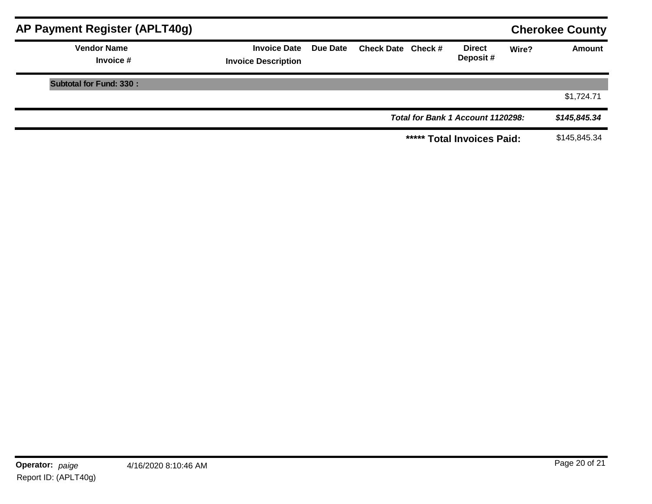| AP Payment Register (APLT40g)   |                                                   |                 |                    |                                   |       | <b>Cherokee County</b> |
|---------------------------------|---------------------------------------------------|-----------------|--------------------|-----------------------------------|-------|------------------------|
| <b>Vendor Name</b><br>Invoice # | <b>Invoice Date</b><br><b>Invoice Description</b> | <b>Due Date</b> | Check Date Check # | <b>Direct</b><br>Deposit#         | Wire? | <b>Amount</b>          |
| <b>Subtotal for Fund: 330:</b>  |                                                   |                 |                    |                                   |       |                        |
|                                 |                                                   |                 |                    |                                   |       | \$1,724.71             |
|                                 |                                                   |                 |                    | Total for Bank 1 Account 1120298: |       | \$145,845.34           |
|                                 |                                                   |                 |                    | ***** Total Invoices Paid:        |       | \$145,845.34           |